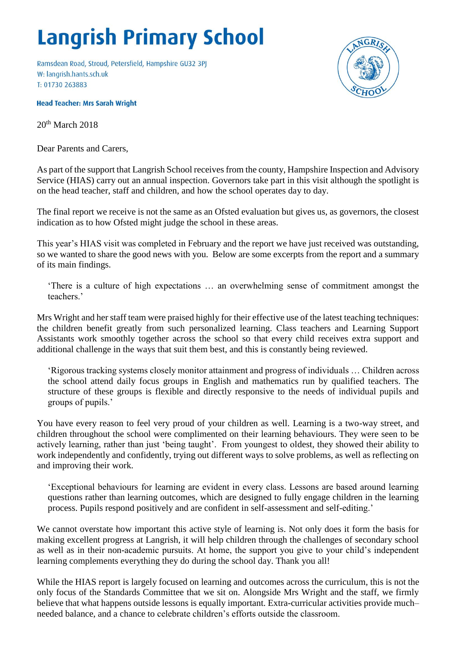## **Langrish Primary School**

Ramsdean Road, Stroud, Petersfield, Hampshire GU32 3PJ W: langrish.hants.sch.uk T: 01730 263883



**Head Teacher: Mrs Sarah Wright** 

 $20<sup>th</sup>$  March  $2018$ 

Dear Parents and Carers,

As part of the support that Langrish School receives from the county, Hampshire Inspection and Advisory Service (HIAS) carry out an annual inspection. Governors take part in this visit although the spotlight is on the head teacher, staff and children, and how the school operates day to day.

The final report we receive is not the same as an Ofsted evaluation but gives us, as governors, the closest indication as to how Ofsted might judge the school in these areas.

This year's HIAS visit was completed in February and the report we have just received was outstanding, so we wanted to share the good news with you. Below are some excerpts from the report and a summary of its main findings.

'There is a culture of high expectations … an overwhelming sense of commitment amongst the teachers.'

Mrs Wright and her staff team were praised highly for their effective use of the latest teaching techniques: the children benefit greatly from such personalized learning. Class teachers and Learning Support Assistants work smoothly together across the school so that every child receives extra support and additional challenge in the ways that suit them best, and this is constantly being reviewed.

'Rigorous tracking systems closely monitor attainment and progress of individuals … Children across the school attend daily focus groups in English and mathematics run by qualified teachers. The structure of these groups is flexible and directly responsive to the needs of individual pupils and groups of pupils.'

You have every reason to feel very proud of your children as well. Learning is a two-way street, and children throughout the school were complimented on their learning behaviours. They were seen to be actively learning, rather than just 'being taught'. From youngest to oldest, they showed their ability to work independently and confidently, trying out different ways to solve problems, as well as reflecting on and improving their work.

'Exceptional behaviours for learning are evident in every class. Lessons are based around learning questions rather than learning outcomes, which are designed to fully engage children in the learning process. Pupils respond positively and are confident in self-assessment and self-editing.'

We cannot overstate how important this active style of learning is. Not only does it form the basis for making excellent progress at Langrish, it will help children through the challenges of secondary school as well as in their non-academic pursuits. At home, the support you give to your child's independent learning complements everything they do during the school day. Thank you all!

While the HIAS report is largely focused on learning and outcomes across the curriculum, this is not the only focus of the Standards Committee that we sit on. Alongside Mrs Wright and the staff, we firmly believe that what happens outside lessons is equally important. Extra-curricular activities provide much– needed balance, and a chance to celebrate children's efforts outside the classroom.